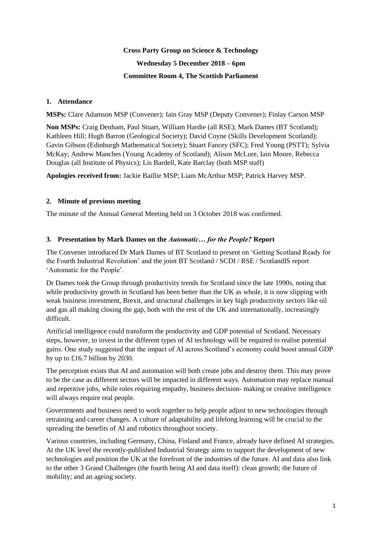# **Cross Party Group on Science & Technology Wednesday 5 December 2018 – 6pm Committee Room 4, The Scottish Parliament**

## **1. Attendance**

**MSPs:** Clare Adamson MSP (Convener); Iain Gray MSP (Deputy Convener); Finlay Carson MSP

**Non MSPs:** Craig Denham, Paul Stuart, William Hardie (all RSE); Mark Dames (BT Scotland); Kathleen Hill; Hugh Barron (Geological Society); David Coyne (Skills Development Scotland); Gavin Gibson (Edinburgh Mathematical Society); Stuart Fancey (SFC); Fred Young (PSTT); Sylvia McKay; Andrew Manches (Young Academy of Scotland); Alison McLure, Iain Moore, Rebecca Douglas (all Institute of Physics); Lis Bardell, Kate Barclay (both MSP staff)

**Apologies received from:** Jackie Baillie MSP; Liam McArthur MSP; Patrick Harvey MSP.

## **2. Minute of previous meeting**

The minute of the Annual General Meeting held on 3 October 2018 was confirmed.

## **3. Presentation by Mark Dames on the** *Automatic… for the People?* **Report**

The Convener introduced Dr Mark Dames of BT Scotland to present on 'Getting Scotland Ready for the Fourth Industrial Revolution' and the joint BT Scotland / SCDI / RSE / ScotlandIS report 'Automatic for the People'.

Dr Dames took the Group through productivity trends for Scotland since the late 1990s, noting that while productivity growth in Scotland has been better than the UK as whole, it is now slipping with weak business investment, Brexit, and structural challenges in key high productivity sectors like oil and gas all making closing the gap, both with the rest of the UK and internationally, increasingly difficult.

Artificial intelligence could transform the productivity and GDP potential of Scotland. Necessary steps, however, to invest in the different types of AI technology will be required to realise potential gains. One study suggested that the impact of AI across Scotland's economy could boost annual GDP by up to £16.7 billion by 2030.

The perception exists that AI and automation will both create jobs and destroy them. This may prove to be the case as different sectors will be impacted in different ways. Automation may replace manual and repetitive jobs, while roles requiring empathy, business decision- making or creative intelligence will always require real people.

Governments and business need to work together to help people adjust to new technologies through retraining and career changes. A culture of adaptability and lifelong learning will be crucial to the spreading the benefits of AI and robotics throughout society.

Various countries, including Germany, China, Finland and France, already have defined AI strategies. At the UK level the recently-published Industrial Strategy aims to support the development of new technologies and position the UK at the forefront of the industries of the future. AI and data also link to the other 3 Grand Challenges (the fourth being AI and data itself): clean growth; the future of mobility; and an ageing society.